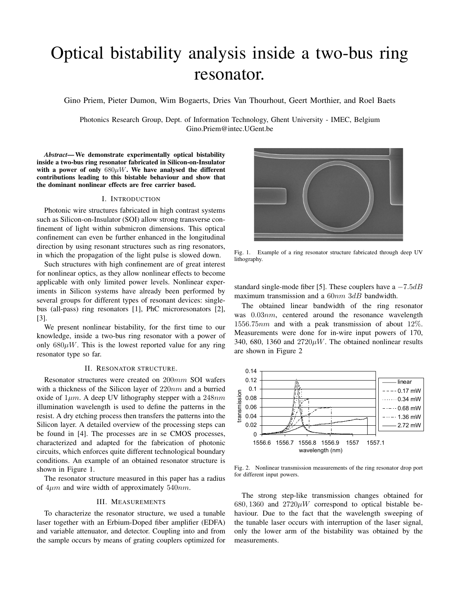# Optical bistability analysis inside a two-bus ring resonator.

Gino Priem, Pieter Dumon, Wim Bogaerts, Dries Van Thourhout, Geert Morthier, and Roel Baets

Photonics Research Group, Dept. of Information Technology, Ghent University - IMEC, Belgium Gino.Priem@intec.UGent.be

*Abstract***—We demonstrate experimentally optical bistability inside a two-bus ring resonator fabricated in Silicon-on-Insulator with a power of only** 680*µW***. We have analysed the different contributions leading to this bistable behaviour and show that the dominant nonlinear effects are free carrier based.**

## I. INTRODUCTION

Photonic wire structures fabricated in high contrast systems such as Silicon-on-Insulator (SOI) allow strong transverse confinement of light within submicron dimensions. This optical confinement can even be further enhanced in the longitudinal direction by using resonant structures such as ring resonators, in which the propagation of the light pulse is slowed down.

Such structures with high confinement are of great interest for nonlinear optics, as they allow nonlinear effects to become applicable with only limited power levels. Nonlinear experiments in Silicon systems have already been performed by several groups for different types of resonant devices: singlebus (all-pass) ring resonators [1], PhC microresonators [2], [3].

We present nonlinear bistability, for the first time to our knowledge, inside a two-bus ring resonator with a power of only  $680\mu W$ . This is the lowest reported value for any ring resonator type so far.

## II. RESONATOR STRUCTURE.

Resonator structures were created on 200*mm* SOI wafers with a thickness of the Silicon layer of 220*nm* and a burried oxide of 1*µm*. A deep UV lithography stepper with a 248*nm* illumination wavelength is used to define the patterns in the resist. A dry etching process then transfers the patterns into the Silicon layer. A detailed overview of the processing steps can be found in [4]. The processes are in se CMOS processes, characterized and adapted for the fabrication of photonic circuits, which enforces quite different technological boundary conditions. An example of an obtained resonator structure is shown in Figure 1.

The resonator structure measured in this paper has a radius of 4*µm* and wire width of approximately 540*nm*.

### III. MEASUREMENTS

To characterize the resonator structure, we used a tunable laser together with an Erbium-Doped fiber amplifier (EDFA) and variable attenuator, and detector. Coupling into and from the sample occurs by means of grating couplers optimized for



Fig. 1. Example of a ring resonator structure fabricated through deep UV lithography.

standard single-mode fiber [5]. These couplers have a *<sup>−</sup>*7*.*5*dB* maximum transmission and a 60*nm* 3*dB* bandwidth.

The obtained linear bandwidth of the ring resonator was 0*.*03*nm*, centered around the resonance wavelength 1556*.*75*nm* and with a peak transmission of about 12%. Measurements were done for in-wire input powers of 170, 340, 680, 1360 and  $2720 \mu W$ . The obtained nonlinear results are shown in Figure 2



Fig. 2. Nonlinear transmission measurements of the ring resonator drop port for different input powers.

The strong step-like transmission changes obtained for 680, 1360 and  $2720\mu W$  correspond to optical bistable behaviour. Due to the fact that the wavelength sweeping of the tunable laser occurs with interruption of the laser signal, only the lower arm of the bistability was obtained by the measurements.